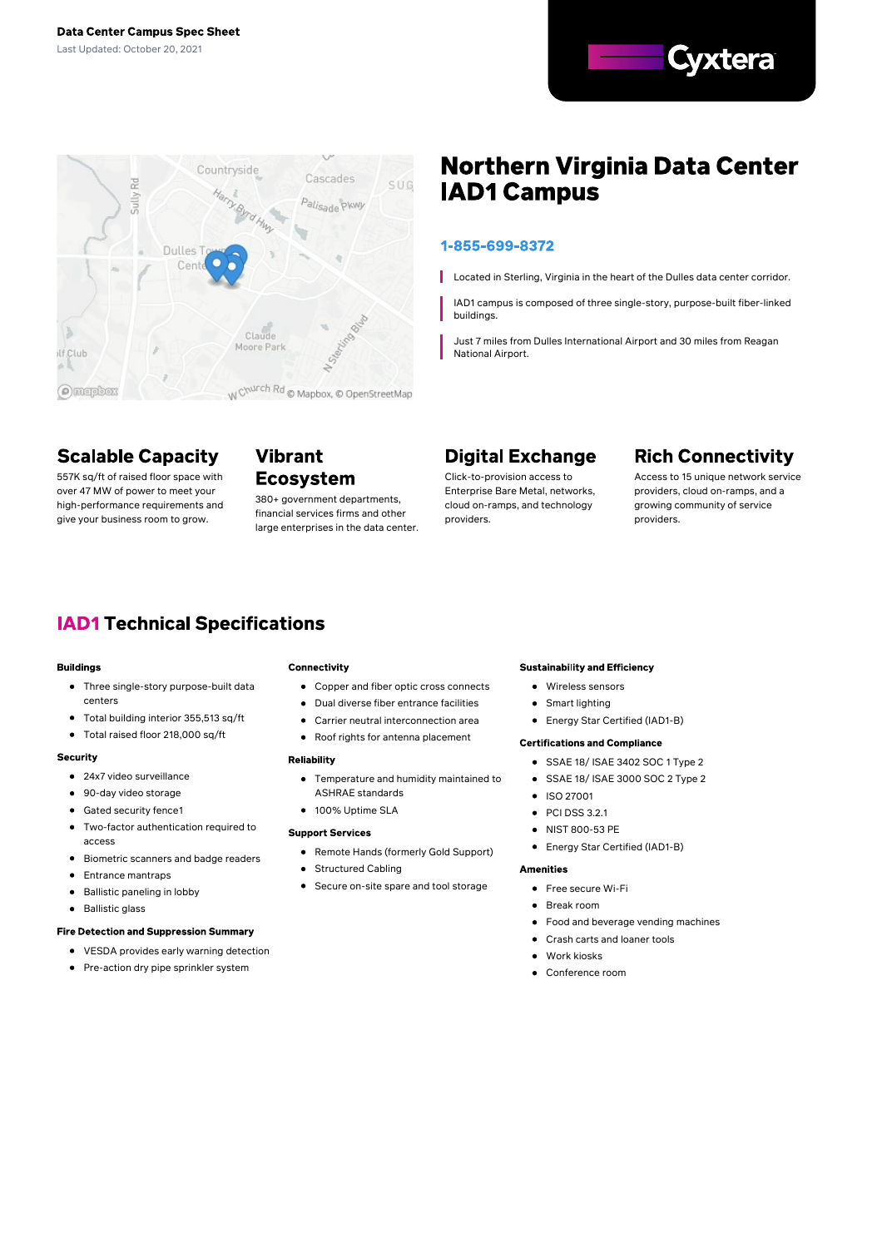



# **Northern Virginia Data Center IAD1 Campus**

### 1-855-699-8372

Located in Sterling, Virginia in the heart of the Dulles data center corridor.

IAD1 campus is composed of three single-story, purpose-built fiber-linked buildings.

Just 7 miles from Dulles International Airport and 30 miles from Reagan National Airport.

# **Scalable Capacity**

557K sq/ft of raised floor space with over 47 MW of power to meet your high-performance requirements and give your business room to grow.

## **Vibrant Ecosystem**

380+ government departments, financial services firms and other large enterprises in the data center.

# **Digital Exchange**

Click-to-provision access to Enterprise Bare Metal, networks, cloud on-ramps, and technology providers.

# **Rich Connectivity**

Access to 15 unique network service providers, cloud on-ramps, and a growing community of service providers.

# **IAD1 Technical Specifications**

### **Buildings**

- Three single-story purpose-built data centers
- $\bullet$ Total building interior 355,513 sq/ft
- Total raised floor 218,000 sq/ft  $\bullet$

### Security

- 24x7 video surveillance
- 90-day video storage
- Gated security fence1
- $\blacksquare$ Two-factor authentication required to access
- Biometric scanners and badge readers  $\bullet$
- Entrance mantraps  $\bullet$
- Ballistic paneling in lobby  $\bullet$
- Ballistic glass  $\bullet$

### **Fire Detection and Suppression Summary**

- VESDA provides early warning detection
- Pre-action dry pipe sprinkler system

### Connectivity

- Copper and fiber optic cross connects
- Dual diverse fiber entrance facilities
- Carrier neutral interconnection area
- Roof rights for antenna placement

#### **Reliability**

- Temperature and humidity maintained to ASHRAE standards
- **100% Uptime SLA**

### **Support Services**

- Remote Hands (formerly Gold Support)
- Structured Cabling
- Secure on-site spare and tool storage

### **Sustainability and Efficiency**

- Wireless sensors
- Smart lighting
- Energy Star Certified (IAD1-B)

### **Certifications and Compliance**

- SSAE 18/ ISAE 3402 SOC 1 Type 2
- SSAE 18/ ISAE 3000 SOC 2 Type 2
- $\bullet$  ISO 27001
- $\bullet$  PCI DSS 3.2.1
- NIST 800-53 PE
- Energy Star Certified (IAD1-B)  $\bullet$

#### **Amenities**

- **•** Free secure Wi-Fi
- Break room
- Food and beverage vending machines
- Crash carts and loaner tools  $\bullet$
- Work kiosks
- Conference room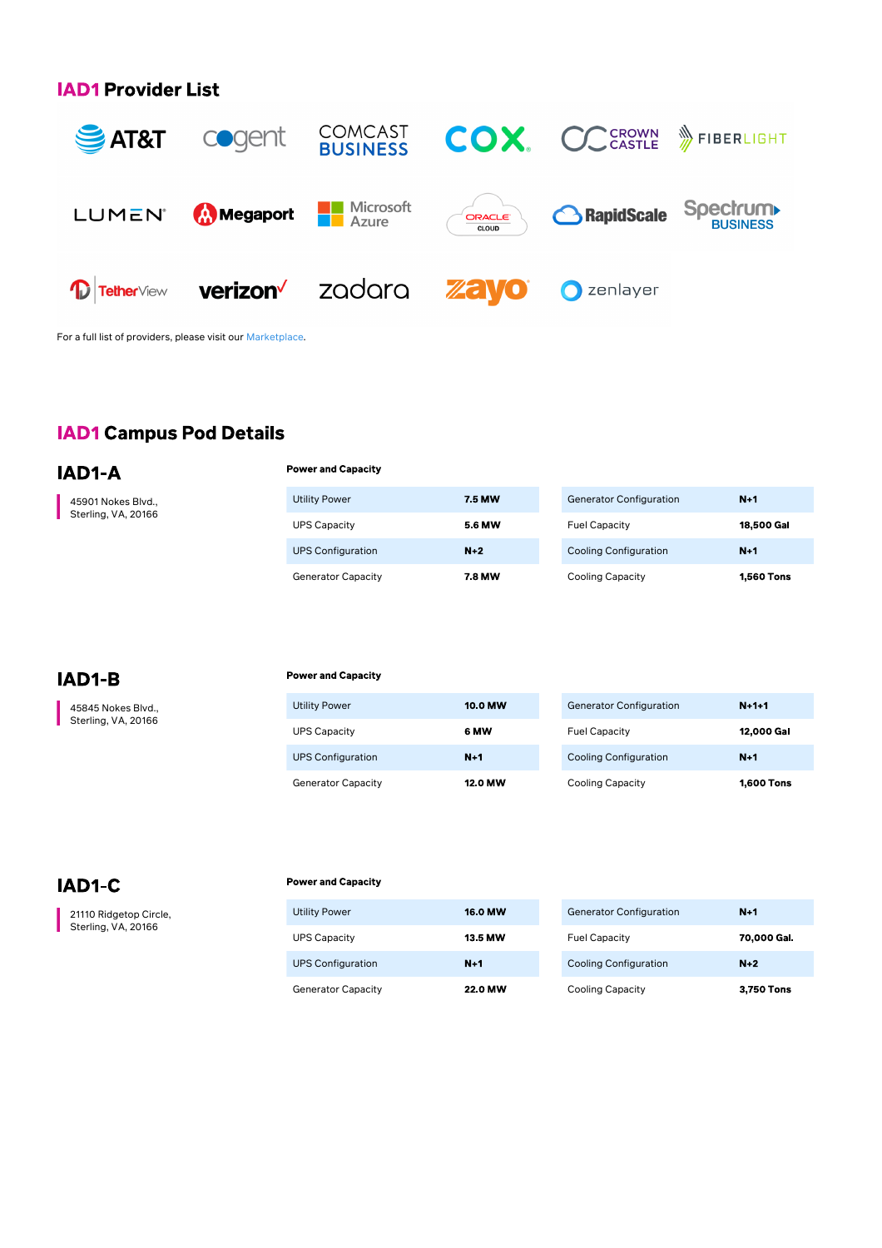## **IAD1 Provider List**



For a full list of providers, please visit our [Marketplace](https://marketplace.cyxtera.com/providers).

# **IAD1 Campus Pod Details**

IAD1-A

45901 Nokes Blvd., Sterling, VA, 20166

| <b>Utility Power</b>      | <b>7.5 MW</b> | <b>Generator Configuration</b> | $N+1$             |
|---------------------------|---------------|--------------------------------|-------------------|
| <b>UPS Capacity</b>       | <b>5.6 MW</b> | <b>Fuel Capacity</b>           | 18,500 Gal        |
| <b>UPS Configuration</b>  | $N+2$         | <b>Cooling Configuration</b>   | $N+1$             |
| <b>Generator Capacity</b> | 7.8 MW        | <b>Cooling Capacity</b>        | <b>1.560 Tons</b> |

# IAD1-B

45845 Nokes Blvd., Sterling, VA, 20166

#### **Power and Capacity**

**Power and Canacity** 

| <b>Utility Power</b>      | <b>10.0 MW</b> | <b>Generator Configuration</b> |
|---------------------------|----------------|--------------------------------|
| <b>UPS Capacity</b>       | 6 MW           | <b>Fuel Capacity</b>           |
| <b>UPS Configuration</b>  | $N+1$          | <b>Cooling Configuration</b>   |
| <b>Generator Capacity</b> | <b>12.0 MW</b> | <b>Cooling Capacity</b>        |

## IAD1-C

21110 Ridgetop Circle, Sterling, VA, 20166

#### **Power and Capacity**

| <b>Utility Power</b>      | <b>16.0 MW</b> |
|---------------------------|----------------|
| <b>UPS Capacity</b>       | 13.5 MW        |
| <b>UPS Configuration</b>  | $N+1$          |
| <b>Generator Capacity</b> | <b>22.0 MW</b> |

| <b>Generator Configuration</b> | $N+1$       |
|--------------------------------|-------------|
| <b>Fuel Capacity</b>           | 70,000 Gal. |
| <b>Cooling Configuration</b>   | $N+2$       |
| <b>Cooling Capacity</b>        | 3,750 Tons  |

 $N + 1 + 1$ 12,000 Gal

 $N+1$ 

**1,600 Tons**